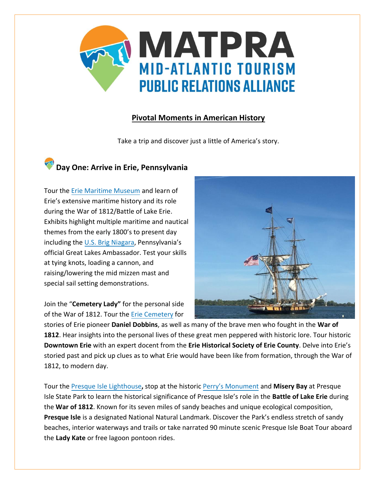

### **Pivotal Moments in American History**

Take a trip and discover just a little of America's story.

# **Day One: Arrive in Erie, Pennsylvania**

Tour the [Erie Maritime Museum](https://www.flagshipniagara.org/erie-maritime-museum/maritime-museum-about/) and learn of Erie's extensive maritime history and its role during the War of 1812/Battle of Lake Erie. Exhibits highlight multiple maritime and nautical themes from the early 1800's to present day including the [U.S. Brig Niagara](https://www.flagshipniagara.org/), Pennsylvania's official Great Lakes Ambassador. Test your skills at tying knots, loading a cannon, and raising/lowering the mid mizzen mast and special sail setting demonstrations.

Join the "**Cemetery Lady"** for the personal side of the War of 1812. Tour th[e Erie Cemetery](http://www.eriecemeteryassoc.com/) for



stories of Erie pioneer **Daniel Dobbins**, as well as many of the brave men who fought in the **War of 1812**. Hear insights into the personal lives of these great men peppered with historic lore. Tour historic **Downtown Erie** with an expert docent from the **Erie Historical Society of Erie County**. Delve into Erie's storied past and pick up clues as to what Erie would have been like from formation, through the War of 1812, to modern day.

Tour the [Presque Isle Lighthouse](http://presqueislelighthouse.org/tours/)**,** stop at the historic [Perry's Monument](https://www.nps.gov/pevi/index.htm) and **Misery Bay** at Presque Isle State Park to learn the historical significance of Presque Isle's role in the **Battle of Lake Erie** during the **War of 1812**. Known for its seven miles of sandy beaches and unique ecological composition, **Presque Isle** is a designated National Natural Landmark. Discover the Park's endless stretch of sandy beaches, interior waterways and trails or take narrated 90 minute scenic Presque Isle Boat Tour aboard the **Lady Kate** or free lagoon pontoon rides.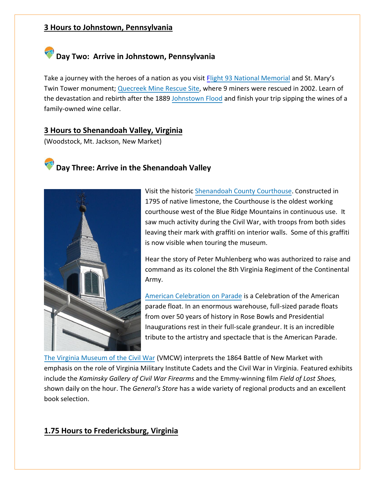### **3 Hours to Johnstown, Pennsylvania**

## **Day Two: Arrive in Johnstown, Pennsylvania**

Take a journey with the heroes of a nation as you visit [Flight 93 National Memorial](https://www.nps.gov/flni/index.htm) and St. Mary's Twin Tower monument; [Quecreek Mine Rescue Site,](http://www.quecreekrescue.org/) where 9 miners were rescued in 2002. Learn of the devastation and rebirth after the 1889 [Johnstown Flood](https://www.nps.gov/jofl/index.htm) and finish your trip sipping the wines of a family-owned wine cellar.

### **3 Hours to Shenandoah Valley, Virginia**

(Woodstock, Mt. Jackson, New Market)





Visit the historic [Shenandoah County Courthouse.](http://www.shenandoahcountyhistoricalsociety.org/) Constructed in 1795 of native limestone, the Courthouse is the oldest working courthouse west of the Blue Ridge Mountains in continuous use. It saw much activity during the Civil War, with troops from both sides leaving their mark with graffiti on interior walls. Some of this graffiti is now visible when touring the museum.

Hear the story of Peter Muhlenberg who was authorized to raise and command as its colonel the 8th Virginia Regiment of the Continental Army.

[American Celebration on Parade](https://shenandoahcaverns.com/aboutus.html) is a Celebration of the American parade float. In an enormous warehouse, full-sized parade floats from over 50 years of history in Rose Bowls and Presidential Inaugurations rest in their full-scale grandeur. It is an incredible tribute to the artistry and spectacle that is the American Parade.

[The Virginia Museum of the Civil War \(](https://www.virginia.org/Listings/Museums/VirginiaMuseumoftheCivilWarNewMarketBattlefieldStateHistoricalPark/)VMCW) interprets the 1864 Battle of New Market with emphasis on the role of Virginia Military Institute Cadets and the Civil War in Virginia. Featured exhibits include the *Kaminsky Gallery of Civil War Firearms* and the Emmy-winning film *Field of Lost Shoes,* shown daily on the hour. The *General's Store* has a wide variety of regional products and an excellent book selection.

### **1.75 Hours to Fredericksburg, Virginia**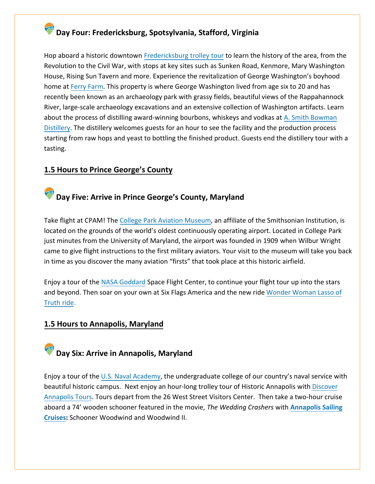### **Day Four: Fredericksburg, Spotsylvania, Stafford, Virginia**

Hop aboard a historic downtown [Fredericksburg trolley tour](http://www.fredericksburgtrolley.com/) to learn the history of the area, from the Revolution to the Civil War, with stops at key sites such as Sunken Road, Kenmore, Mary Washington House, Rising Sun Tavern and more. Experience the revitalization of George Washington's boyhood home at [Ferry Farm.](http://www.kenmore.org/index.html) This property is where George Washington lived from age six to 20 and has recently been known as an archaeology park with grassy fields, beautiful views of the Rappahannock River, large-scale archaeology excavations and an extensive collection of Washington artifacts. Learn about the process of distilling award-winning bourbons, whiskeys and vodkas at [A. Smith Bowman](https://www.asmithbowman.com/) [Distillery.](https://www.asmithbowman.com/) The distillery welcomes guests for an hour to see the facility and the production process starting from raw hops and yeast to bottling the finished product. Guests end the distillery tour with a tasting.

### **1.5 Hours to Prince George's County**

### **Day Five: Arrive in Prince George's County, Maryland**

Take flight at CPAM! The [College Park Aviation Museum,](http://www.collegeparkaviationmuseum.com/1593/College-Park-Aviation-Museum) an affiliate of the Smithsonian Institution, is located on the grounds of the world's oldest continuously operating airport. Located in College Park just minutes from the University of Maryland, the airport was founded in 1909 when Wilbur Wright came to give flight instructions to the first military aviators. Your visit to the museum will take you back in time as you discover the many aviation "firsts" that took place at this historic airfield.

Enjoy a tour of the [NASA Goddard](https://www.nasa.gov/goddard) Space Flight Center, to continue your flight tour up into the stars and beyond. Then soar on your own at Six Flags America and the new ride [Wonder Woman Lasso of](https://www.sixflags.com/discoverykingdom/attractions/wonder-woman-lasso-truth) [Truth ride.](https://www.sixflags.com/discoverykingdom/attractions/wonder-woman-lasso-truth)

### **1.5 Hours to Annapolis, Maryland**

# **Day Six: Arrive in Annapolis, Maryland**

Enjoy a tour of the [U.S. Naval Academy,](https://www.usna.edu/homepage.php) the undergraduate college of our country's naval service with beautiful historic campus. Next enjoy an hour-long trolley tour of Historic Annapolis wit[h Discover](http://www.townetransport.com/) [Annapolis Tours.](http://www.townetransport.com/) Tours depart from the 26 West Street Visitors Center. Then take a two-hour cruise aboard a 74' wooden schooner featured in the movie, *The Wedding Crashers* with **[Annapolis Sailing](http://www.schoonerwoodwind.com/) [Cruises:](http://www.schoonerwoodwind.com/)** Schooner Woodwind and Woodwind II.